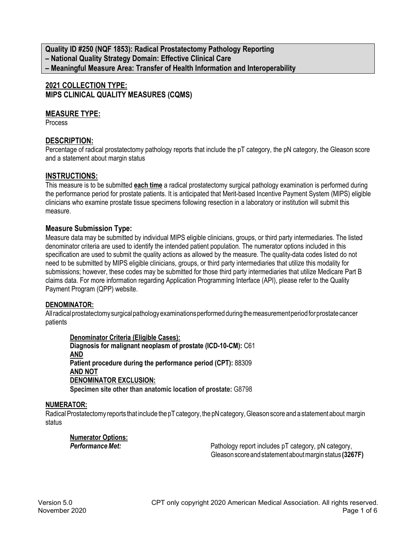**Quality ID #250 (NQF 1853): Radical Prostatectomy Pathology Reporting – National Quality Strategy Domain: Effective Clinical Care – Meaningful Measure Area: Transfer of Health Information and Interoperability**

# **2021 COLLECTION TYPE: MIPS CLINICAL QUALITY MEASURES (CQMS)**

## **MEASURE TYPE:**

**Process** 

## **DESCRIPTION:**

Percentage of radical prostatectomy pathology reports that include the pT category, the pN category, the Gleason score and a statement about margin status

## **INSTRUCTIONS:**

This measure is to be submitted **each time** a radical prostatectomy surgical pathology examination is performed during the performance period for prostate patients. It is anticipated that Merit-based Incentive Payment System (MIPS) eligible clinicians who examine prostate tissue specimens following resection in a laboratory or institution will submit this measure.

### **Measure Submission Type:**

Measure data may be submitted by individual MIPS eligible clinicians, groups, or third party intermediaries. The listed denominator criteria are used to identify the intended patient population. The numerator options included in this specification are used to submit the quality actions as allowed by the measure. The quality-data codes listed do not need to be submitted by MIPS eligible clinicians, groups, or third party intermediaries that utilize this modality for submissions; however, these codes may be submitted for those third party intermediaries that utilize Medicare Part B claims data. For more information regarding Application Programming Interface (API), please refer to the Quality Payment Program (QPP) website.

### **DENOMINATOR:**

All radical prostatectomy surgical pathology examinations performed during the measurement period for prostate cancer patients

**Denominator Criteria (Eligible Cases): Diagnosis for malignant neoplasm of prostate (ICD-10-CM):** C61 **AND Patient procedure during the performance period (CPT):** 88309 **AND NOT DENOMINATOR EXCLUSION: Specimen site other than anatomic location of prostate:** G8798

### **NUMERATOR:**

Radical Prostatectomy reports that include the pT category, the pN category, Gleason score and a statement about margin status

**Numerator Options:**

**Performance Met:** Pathology report includes pT category, pN category, pnd category, Gleasonscoreandstatementaboutmargin status **(3267F)**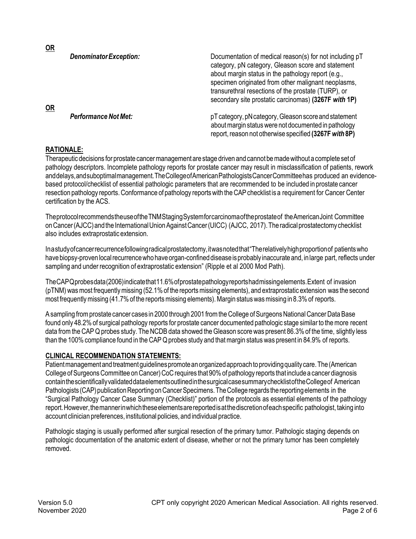| <b>OR</b> | <b>Denominator Exception:</b> | Documentation of medical reason(s) for not including pT<br>category, pN category, Gleason score and statement<br>about margin status in the pathology report (e.g.,<br>specimen originated from other malignant neoplasms,<br>transurethral resections of the prostate (TURP), or<br>secondary site prostatic carcinomas) (3267F with 1P) |
|-----------|-------------------------------|-------------------------------------------------------------------------------------------------------------------------------------------------------------------------------------------------------------------------------------------------------------------------------------------------------------------------------------------|
|           | <b>Performance Not Met:</b>   | pT category, pN category, Gleason score and statement<br>about margin status were not documented in pathology<br>report, reason not otherwise specified (3267F with 8P)                                                                                                                                                                   |

### **RATIONALE:**

**OR**

Therapeutic decisions for prostate cancermanagement are stage driven and cannot bemadewithout a complete set of pathology descriptors. Incomplete pathology reports for prostate cancer may result in misclassification of patients, rework anddelays,andsuboptimalmanagement.TheCollegeofAmericanPathologistsCancerCommitteehas produced an evidencebased protocol/checklist of essential pathologic parameters that are recommended to be included in prostate cancer resection pathology reports. Conformance of pathology reports with the CAP checklist is a requirement for Cancer Center certification by the ACS.

Theprotocolrecommends the useoftheTNMStagingSystemforcarcinomaoftheprostateof theAmerican Joint Committee onCancer(AJCC)and the InternationalUnionAgainstCancer(UICC) (AJCC, 2017). Theradical prostatectomy checklist also includes extraprostatic extension.

In a studyofcancerrecurrencefollowingradicalprostatectomy,itwasnotedthat"Therelativelyhighproportionof patientswho have biopsy-proven local recurrence who have organ-confined disease is probably inaccurate and, in large part, reflects under sampling and under recognition of extraprostatic extension" (Ripple et al 2000 Mod Path).

TheCAP Q probesdata(2006)indicatethat11.6%of prostate pathologyreportshadmissingelements.Extent of invasion (pTNM) was most frequently missing (52.1% of the reports missing elements), and extraprostatic extension was the second most frequently missing (41.7% of the reports missing elements). Margin status was missing in 8.3% of reports.

A sampling from prostate cancer cases in 2000 through 2001 from the College of Surgeons National Cancer Data Base found only 48.2% of surgical pathology reports for prostate cancer documented pathologic stage similar to the more recent data from the CAP Q probes study. The NCDB data showed the Gleason score was present 86.3% of the time, slightly less than the 100% compliance found in the CAP Q probes study and thatmargin status was present in 84.9% of reports.

#### **CLINICAL RECOMMENDATION STATEMENTS:**

Patient management and treatment quidelines promote an organized approach to providing quality care. The (American College of Surgeons Committee on Cancer) CoC requires that 90% of pathology reports that include a cancer diagnosis containthescientificallyvalidateddataelementsoutlinedin the surgicalcasesummarychecklistof the Collegeof American Pathologists (CAP) publication Reporting on Cancer Specimens. The College regards the reporting elements in the "Surgical Pathology Cancer Case Summary (Checklist)" portion of the protocols as essential elements of the pathology report.However, the mannerinwhichtheseelementsarereportedisat the discretionofeachspecific pathologist, taking into account clinician preferences, institutional policies, and individual practice.

Pathologic staging is usually performed after surgical resection of the primary tumor. Pathologic staging depends on pathologic documentation of the anatomic extent of disease, whether or not the primary tumor has been completely removed.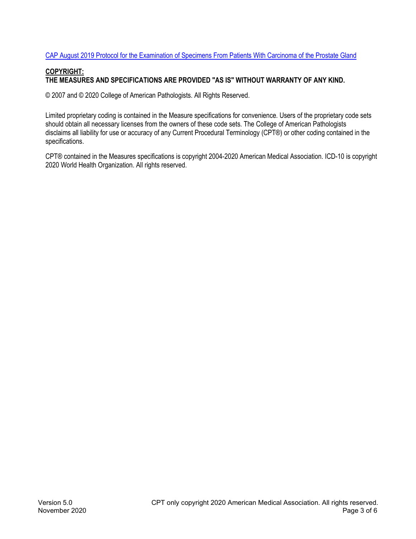#### CAP August 2019 Protocol [for the Examination of Specimens From Patients With Carcinoma of the Prostate Gland](https://documents.cap.org/protocols/cp-malegenital-prostate-radicalprostatectomy-19-4041.pdf)

## **COPYRIGHT: THE MEASURES AND SPECIFICATIONS ARE PROVIDED "AS IS" WITHOUT WARRANTY OF ANY KIND.**

© 2007 and © 2020 College of American Pathologists. All Rights Reserved.

Limited proprietary coding is contained in the Measure specifications for convenience. Users of the proprietary code sets should obtain all necessary licenses from the owners of these code sets. The College of American Pathologists disclaims all liability for use or accuracy of any Current Procedural Terminology (CPT®) or other coding contained in the specifications.

CPT® contained in the Measures specifications is copyright 2004-2020 American Medical Association. ICD-10 is copyright 2020 World Health Organization. All rights reserved.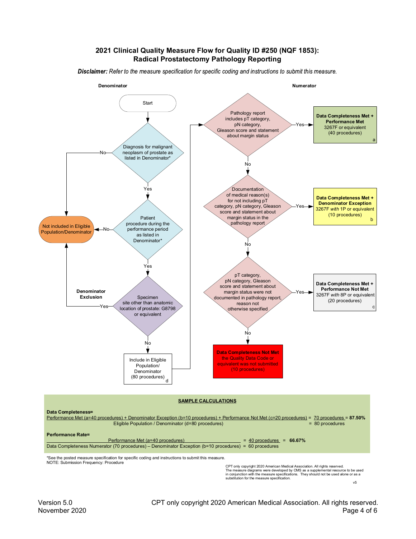#### **2021 Clinical Quality Measure Flow for Quality ID #250 (NQF 1853): Radical Prostatectomy Pathology Reporting**

Disclaimer: Refer to the measure specification for specific coding and instructions to submit this measure.



\*See the posted measure specification for specific coding and instructions to submit this measure. NOTE: Submission Frequency: Procedure

Data Completeness Numerator (70 procedures) – Denominator Exception (b=10 procedures) = 60 procedures

CPT only copyright 2020 American Medical Association. All rights reserved.<br>The measure diagrams were developed by CMS as a supplemental resource to be used<br>in conjunction with the measure specifications. They should not b substitution for the measure specification. v5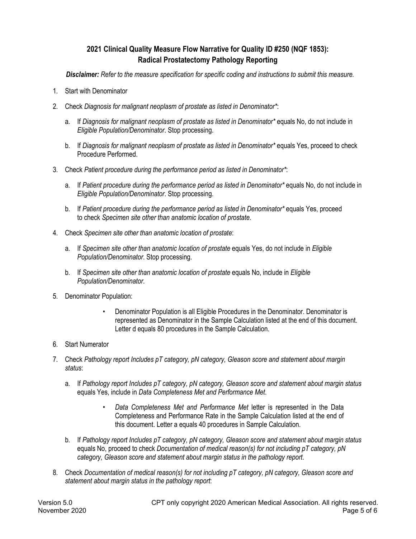# **2021 Clinical Quality Measure Flow Narrative for Quality ID #250 (NQF 1853): Radical Prostatectomy Pathology Reporting**

 *Disclaimer: Refer to the measure specification for specific coding and instructions to submit this measure.*

- 1. Start with Denominator
- 2. Check *Diagnosis for malignant neoplasm of prostate as listed in Denominator\**:
	- a. If *Diagnosis for malignant neoplasm of prostate as listed in Denominator\** equals No, do not include in *Eligible Population/Denominator*. Stop processing.
	- b. If *Diagnosis for malignant neoplasm of prostate as listed in Denominator\** equals Yes, proceed to check Procedure Performed.
- 3. Check *Patient procedure during the performance period as listed in Denominator\**:
	- a. If *Patient procedure during the performance period as listed in Denominator\** equals No, do not include in *Eligible Population/Denominator*. Stop processing.
	- b. If *Patient procedure during the performance period as listed in Denominator\** equals Yes, proceed to check *Specimen site other than anatomic location of prostate*.
- 4. Check *Specimen site other than anatomic location of prostate*:
	- a. If *Specimen site other than anatomic location of prostate* equals Yes, do not include in *Eligible Population/Denominator*. Stop processing.
	- b. If *Specimen site other than anatomic location of prostate* equals No, include in *Eligible Population/Denominator*.
- 5. Denominator Population:
	- Denominator Population is all Eligible Procedures in the Denominator. Denominator is represented as Denominator in the Sample Calculation listed at the end of this document. Letter d equals 80 procedures in the Sample Calculation.
- 6. Start Numerator
- 7. Check *Pathology report Includes pT category, pN category, Gleason score and statement about margin status*:
	- a. If *Pathology report Includes pT category, pN category, Gleason score and statement about margin status* equals Yes, include in *Data Completeness Met and Performance Met*.
		- *Data Completeness Met and Performance Met* letter is represented in the Data Completeness and Performance Rate in the Sample Calculation listed at the end of this document. Letter a equals 40 procedures in Sample Calculation.
	- b. If *Pathology report Includes pT category, pN category, Gleason score and statement about margin status* equals No, proceed to check *Documentation of medical reason(s) for not including pT category, pN category, Gleason score and statement about margin status in the pathology report*.
- 8. Check *Documentation of medical reason(s) for not including pT category, pN category, Gleason score and statement about margin status in the pathology report*: